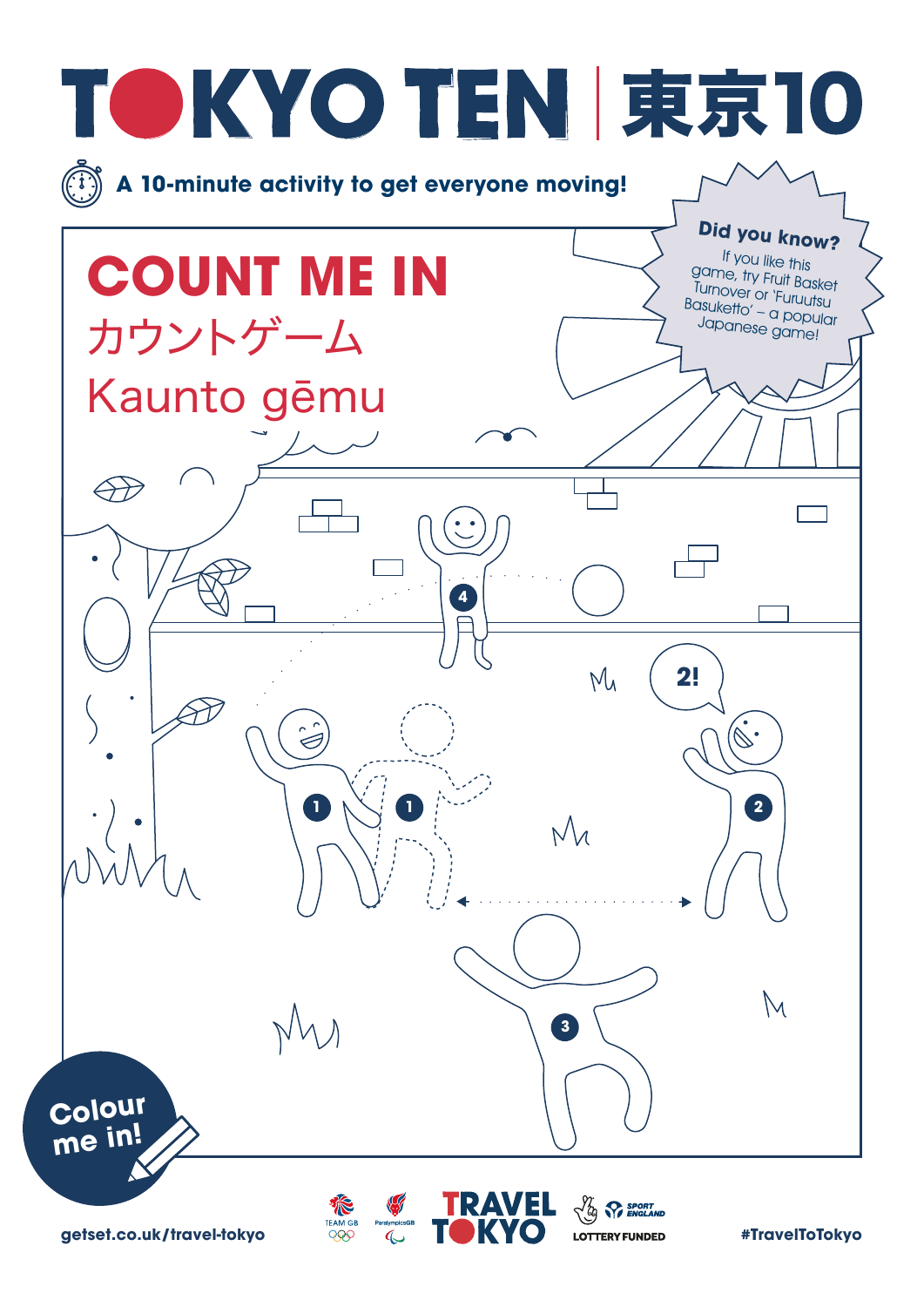